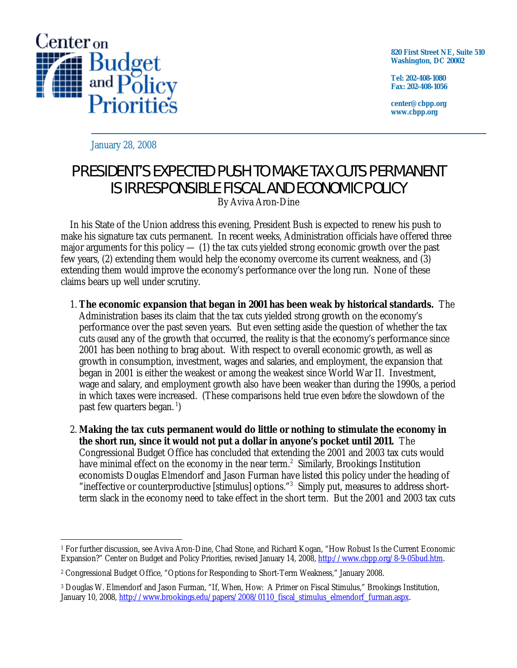

**820 First Street NE, Suite 510 Washington, DC 20002** 

**Tel: 202-408-1080 Fax: 202-408-1056** 

**center@cbpp.org www.cbpp.org** 

January 28, 2008

## PRESIDENT'S EXPECTED PUSH TO MAKE TAX CUTS PERMANENT IS IRRESPONSIBLE FISCAL AND ECONOMIC POLICY

By Aviva Aron-Dine

 In his State of the Union address this evening, President Bush is expected to renew his push to make his signature tax cuts permanent. In recent weeks, Administration officials have offered three major arguments for this policy  $-$  (1) the tax cuts yielded strong economic growth over the past few years, (2) extending them would help the economy overcome its current weakness, and (3) extending them would improve the economy's performance over the long run. None of these claims bears up well under scrutiny.

- 1. **The economic expansion that began in 2001 has been weak by historical standards.** The Administration bases its claim that the tax cuts yielded strong growth on the economy's performance over the past seven years. But even setting aside the question of whether the tax cuts *caused* any of the growth that occurred, the reality is that the economy's performance since 2001 has been nothing to brag about. With respect to overall economic growth, as well as growth in consumption, investment, wages and salaries, and employment, the expansion that began in 2001 is either the weakest or among the weakest since World War II. Investment, wage and salary, and employment growth also have been weaker than during the 1990s, a period in which taxes were increased. (These comparisons held true even *before* the slowdown of the past few quarters began.<sup>1</sup>)
- 2. **Making the tax cuts permanent would do little or nothing to stimulate the economy in the short run, since it would not put a dollar in anyone's pocket until 2011.** The Congressional Budget Office has concluded that extending the 2001 and 2003 tax cuts would have minimal effect on the economy in the near term. $2$  Similarly, Brookings Institution economists Douglas Elmendorf and Jason Furman have listed this policy under the heading of "ineffective or counterproductive [stimulus] options."<sup>3</sup> Simply put, measures to address shortterm slack in the economy need to take effect in the short term. But the 2001 and 2003 tax cuts

<sup>-</sup>1 For further discussion, see Aviva Aron-Dine, Chad Stone, and Richard Kogan, "How Robust Is the Current Economic Expansion?" Center on Budget and Policy Priorities, revised January 14, 2008, http://www.cbpp.org/8-9-05bud.htm.

<sup>2</sup> Congressional Budget Office, "Options for Responding to Short-Term Weakness," January 2008.

<sup>3</sup> Douglas W. Elmendorf and Jason Furman, "If, When, How: A Primer on Fiscal Stimulus," Brookings Institution, January 10, 2008, http://www.brookings.edu/papers/2008/0110\_fiscal\_stimulus\_elmendorf\_furman.aspx.